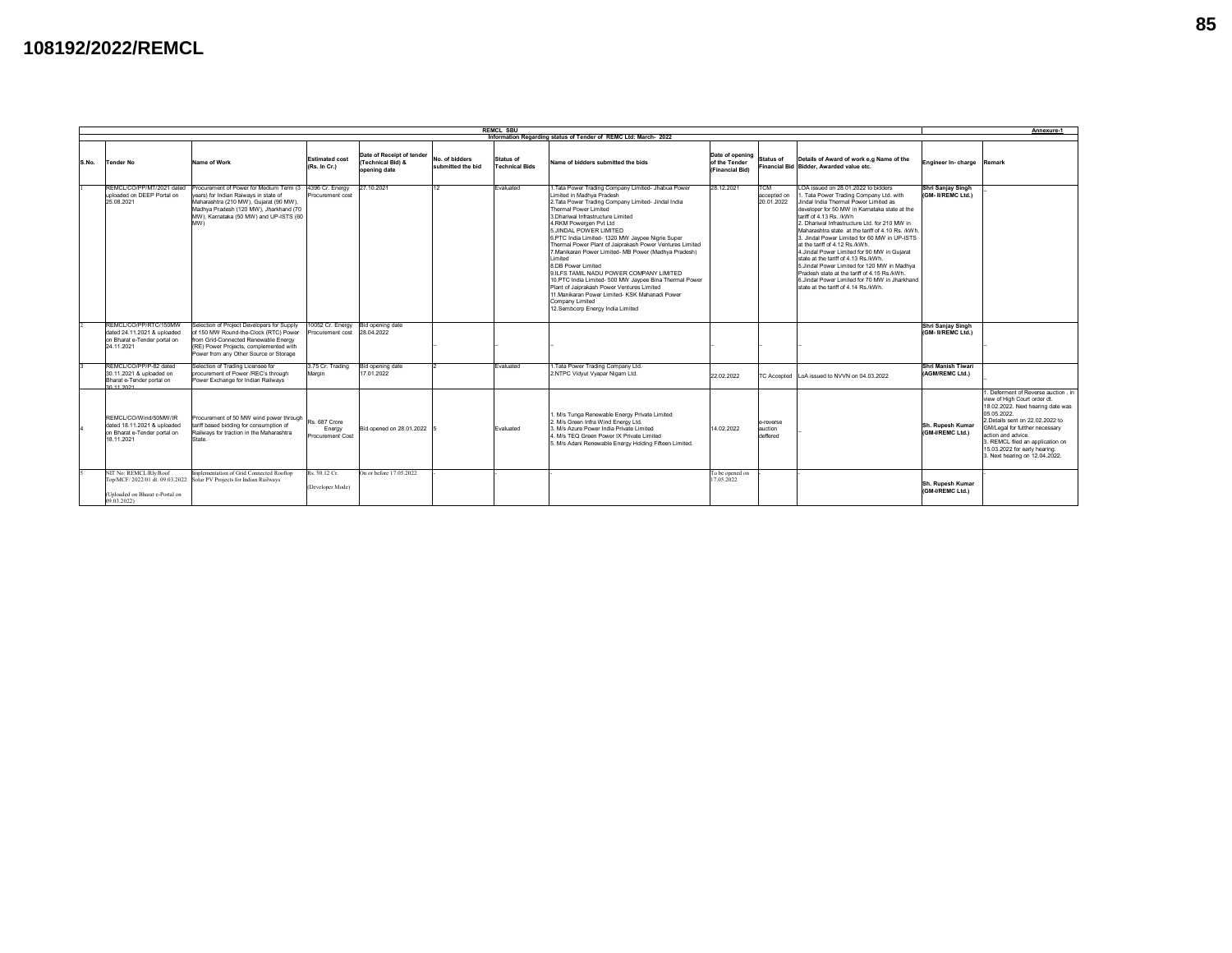## **108192/2022/REMCL**

|       | <b>REMCL SBU</b><br>Annexure-1                                                                     |                                                                                                                                                                                                                                       |                                             |                                                                |                                     |                                    |                                                                                                                                                                                                                                                                                                                                                                                                                                                                                                                                                                                                                                                                                                                                     |                                                     |                                         |                                                                                                                                                                                                                                                                                                                                                                                                                                                                                                                                                                                                                                                                          |                                                |                                                                                                                                                                                                                                                                                                                             |
|-------|----------------------------------------------------------------------------------------------------|---------------------------------------------------------------------------------------------------------------------------------------------------------------------------------------------------------------------------------------|---------------------------------------------|----------------------------------------------------------------|-------------------------------------|------------------------------------|-------------------------------------------------------------------------------------------------------------------------------------------------------------------------------------------------------------------------------------------------------------------------------------------------------------------------------------------------------------------------------------------------------------------------------------------------------------------------------------------------------------------------------------------------------------------------------------------------------------------------------------------------------------------------------------------------------------------------------------|-----------------------------------------------------|-----------------------------------------|--------------------------------------------------------------------------------------------------------------------------------------------------------------------------------------------------------------------------------------------------------------------------------------------------------------------------------------------------------------------------------------------------------------------------------------------------------------------------------------------------------------------------------------------------------------------------------------------------------------------------------------------------------------------------|------------------------------------------------|-----------------------------------------------------------------------------------------------------------------------------------------------------------------------------------------------------------------------------------------------------------------------------------------------------------------------------|
|       | Information Regarding status of Tender of REMC Ltd: March- 2022                                    |                                                                                                                                                                                                                                       |                                             |                                                                |                                     |                                    |                                                                                                                                                                                                                                                                                                                                                                                                                                                                                                                                                                                                                                                                                                                                     |                                                     |                                         |                                                                                                                                                                                                                                                                                                                                                                                                                                                                                                                                                                                                                                                                          |                                                |                                                                                                                                                                                                                                                                                                                             |
| S.No. | Tender No                                                                                          | Name of Work                                                                                                                                                                                                                          | <b>Estimated cost</b><br>(Rs. In Cr.)       | Date of Receipt of tender<br>(Technical Bid) &<br>opening date | No. of bidders<br>submitted the bid | Status of<br><b>Technical Bids</b> | Name of bidders submitted the bids                                                                                                                                                                                                                                                                                                                                                                                                                                                                                                                                                                                                                                                                                                  | Date of opening<br>of the Tender<br>(Financial Bid) | <b>Status of</b>                        | Details of Award of work e.g Name of the<br>Financial Bid Bidder, Awarded value etc.                                                                                                                                                                                                                                                                                                                                                                                                                                                                                                                                                                                     | Engineer In-charge Remark                      |                                                                                                                                                                                                                                                                                                                             |
|       | REMCL/CO/PP/MT/2021 dated<br>uploaded on DEEP Portal on<br>25.08.2021                              | Procurement of Power for Medium Term (3 4396 Cr. Energy<br>vears) for Indian Raiways in state of<br>Maharashtra (210 MW), Gujarat (90 MW),<br>Madhya Pradesh (120 MW), Jharkhand (70<br>MW). Karnataka (50 MW) and UP-ISTS (60<br>MW) | Procurement cost                            | 27.10.2021                                                     | 12                                  | Evaluated                          | 1. Tata Power Trading Company Limited- Jhabua Power<br>Limited in Madhya Pradesh<br>2. Tata Power Trading Company Limited- Jindal India<br>Thermal Power Limited<br>3. Dhariwal Infrastructure Limited<br>4.RKM Powergen Pvt Ltd<br>5. JINDAL POWER LIMITED<br>6.PTC India Limited- 1320 MW Jaypee Nigrie Super<br>Thermal Power Plant of Jaiprakash Power Ventures Limited<br>7. Manikaran Power Limited- MB Power (Madhya Pradesh)<br>I imited<br>8.DB Power Limited<br>9.ILFS TAMIL NADU POWER COMPANY LIMITED<br>10.PTC India Limited- 500 MW Jaypee Bina Thermal Power<br>Plant of Jaiprakash Power Ventures Limited<br>11. Manikaran Power Limited- KSK Mahanadi Power<br>Company Limited<br>12.Sembcorp Energy India Limited | 28.12.2021                                          | <b>TCM</b><br>accepted on<br>20.01.2022 | LOA issued on 28.01.2022 to bidders<br>Tata Power Trading Company Ltd. with<br>Jindal India Thermal Power Limited as<br>developer for 50 MW in Karnataka state at the<br>tariff of 4.13 Rs. /kWh<br>2. Dhariwal Infrastructure Ltd. for 210 MW in<br>Maharashtra state at the tariff of 4.10 Rs. /kWh.<br>3. Jindal Power Limited for 60 MW in UP-ISTS<br>at the tariff of 4.12 Rs./kWh.<br>4. Jindal Power Limited for 90 MW in Guiarat<br>state at the tariff of 4.13 Rs./kWh.<br>5.Jindal Power Limited for 120 MW in Madhva<br>Pradesh state at the tariff of 4.15 Rs./kWh.<br>6.Jindal Power Limited for 70 MW in Jharkhand<br>state at the tariff of 4.14 Rs./kWh. | Shri Sanjay Singh<br>(GM- II/REMC Ltd.)        |                                                                                                                                                                                                                                                                                                                             |
|       | REMCL/CO/PP/RTC/150MW<br>dated 24.11.2021 & uploaded<br>on Bharat e-Tender portal on<br>24.11.2021 | Selection of Project Developers for Supply<br>of 150 MW Round-the-Clock (RTC) Power<br>from Grid-Connected Renewable Energy<br>(RE) Power Projects, complemented with<br>Power from any Other Source or Storage                       | 10052 Cr. Energy<br>Procurement cost        | Bid opening date<br>28.04.2022                                 |                                     |                                    |                                                                                                                                                                                                                                                                                                                                                                                                                                                                                                                                                                                                                                                                                                                                     |                                                     |                                         |                                                                                                                                                                                                                                                                                                                                                                                                                                                                                                                                                                                                                                                                          | <b>Shri Saniav Singh</b><br>(GM- II/REMC Ltd.) |                                                                                                                                                                                                                                                                                                                             |
|       | REMCL/CO/PP/P-82 dated<br>30.11.2021 & uploaded on<br>Bharat e-Tender portal on<br>30.11.2021      | Selection of Trading Licensee for<br>procurement of Power /REC's through<br>Power Exchange for Indian Railways                                                                                                                        | 3.75 Cr. Trading<br>Margin                  | Bid opening date<br>17.01.2022                                 |                                     | Evaluated                          | .Tata Power Trading Company Ltd.<br>2.NTPC Vidyut Vyapar Nigam Ltd.                                                                                                                                                                                                                                                                                                                                                                                                                                                                                                                                                                                                                                                                 | 22.02.2022                                          | <b>TC Accepted</b>                      | LoA issued to NVVN on 04.03.2022                                                                                                                                                                                                                                                                                                                                                                                                                                                                                                                                                                                                                                         | <b>Shri Manish Tiwari</b><br>(AGM/REMC Ltd.)   |                                                                                                                                                                                                                                                                                                                             |
|       | REMCL/CO/Wind/50MW/IR<br>dated 18.11.2021 & uploaded<br>on Bharat e-Tender portal on<br>18.11.2021 | Procurement of 50 MW wind power through<br>tariff based bidding for consumption of<br>Railways for traction in the Maharashtra<br>State                                                                                               | Rs. 687 Crore<br>Energy<br>Procurement Cost | Bid opened on 28.01.2022                                       |                                     | Evaluated                          | I. M/s Tunga Renewable Energy Private Limited<br>2. M/s Green Infra Wind Energy Ltd.<br>3 M/s Azure Power India Private Limited<br>4. M/s TEQ Green Power IX Private Limited<br>5. M/s Adani Renewable Energy Holding Fifteen Limited.                                                                                                                                                                                                                                                                                                                                                                                                                                                                                              | 14.02.2022                                          | e-reverse<br>auction<br>deffered        |                                                                                                                                                                                                                                                                                                                                                                                                                                                                                                                                                                                                                                                                          | Sh. Rupesh Kumar<br>(GM-I/REMC Ltd.)           | I. Deferment of Reverse auction . in<br>view of High Court order dt.<br>18.02.2022. Next hearing date was<br>05.05.2022.<br>2. Details sent on 22.02.2022 to<br>GM/Legal for futther necessary<br>action and advice.<br>3. REMCL filed an application on<br>15.03.2022 for early hearing.<br>3. Next hearing on 12.04.2022. |
|       | NIT No: REMCL/Rly/Roof<br>(Uploaded on Bharat e-Portal on<br>09.03.2022)                           | Implementation of Grid Connected Rooftop<br>Top/MCF/2022/01 dt. 09.03.2022 Solar PV Projects for Indian Railways                                                                                                                      | Rs. 50.12 Cr.<br>(Developer Mode)           | On or before 17.05.2022                                        |                                     |                                    |                                                                                                                                                                                                                                                                                                                                                                                                                                                                                                                                                                                                                                                                                                                                     | To be opened on<br>17.05.2022                       |                                         |                                                                                                                                                                                                                                                                                                                                                                                                                                                                                                                                                                                                                                                                          | Sh. Rupesh Kumar<br>(GM-I/REMC Ltd.)           |                                                                                                                                                                                                                                                                                                                             |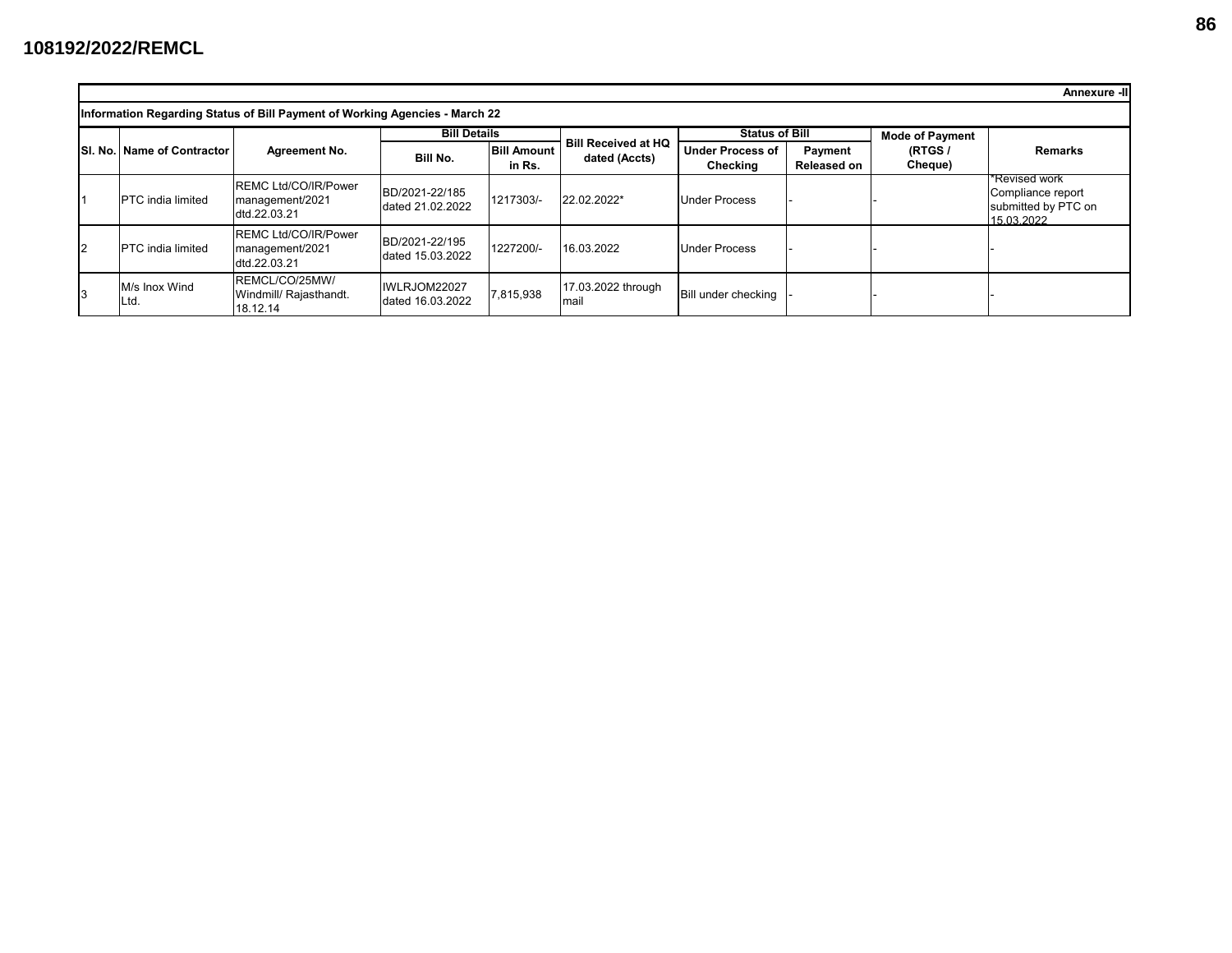|                |                                                                             |                                                                 |                                    |                              |                                             |                                     |                               |                        | Annexure -II                                                            |  |  |  |  |  |  |
|----------------|-----------------------------------------------------------------------------|-----------------------------------------------------------------|------------------------------------|------------------------------|---------------------------------------------|-------------------------------------|-------------------------------|------------------------|-------------------------------------------------------------------------|--|--|--|--|--|--|
|                | Information Regarding Status of Bill Payment of Working Agencies - March 22 |                                                                 |                                    |                              |                                             |                                     |                               |                        |                                                                         |  |  |  |  |  |  |
|                |                                                                             |                                                                 | <b>Bill Details</b>                |                              |                                             | <b>Status of Bill</b>               |                               | <b>Mode of Payment</b> |                                                                         |  |  |  |  |  |  |
|                | SI. No. Name of Contractor                                                  | Agreement No.                                                   | Bill No.                           | <b>Bill Amount</b><br>in Rs. | <b>Bill Received at HQ</b><br>dated (Accts) | <b>Under Process of</b><br>Checking | Payment<br><b>Released on</b> | (RTGS /<br>Cheque)     | <b>Remarks</b>                                                          |  |  |  |  |  |  |
|                | <b>IPTC</b> india limited                                                   | <b>IREMC Ltd/CO/IR/Power</b><br>management/2021<br>dtd.22.03.21 | BD/2021-22/185<br>dated 21.02.2022 | 1217303/-                    | 22.02.2022*                                 | <b>Under Process</b>                |                               |                        | *Revised work<br>Compliance report<br>submitted by PTC on<br>15.03.2022 |  |  |  |  |  |  |
| $\overline{2}$ | <b>IPTC</b> india limited                                                   | <b>IREMC Ltd/CO/IR/Power</b><br>management/2021<br>dtd.22.03.21 | BD/2021-22/195<br>dated 15.03.2022 | 1227200/-                    | 16.03.2022                                  | <b>Under Process</b>                |                               |                        |                                                                         |  |  |  |  |  |  |
|                | M/s Inox Wind<br>Ltd.                                                       | IREMCL/CO/25MW/<br>Windmill/ Rajasthandt.<br>18.12.14           | IWLRJOM22027<br>dated 16.03.2022   | 7,815,938                    | 17.03.2022 through<br>mail                  | Bill under checking                 |                               |                        |                                                                         |  |  |  |  |  |  |